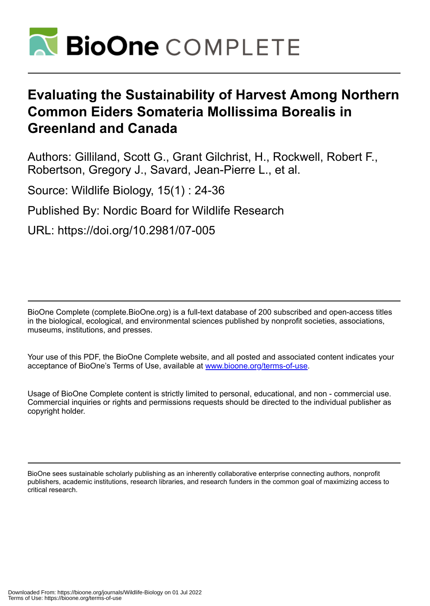

# **Evaluating the Sustainability of Harvest Among Northern Common Eiders Somateria Mollissima Borealis in Greenland and Canada**

Authors: Gilliland, Scott G., Grant Gilchrist, H., Rockwell, Robert F., Robertson, Gregory J., Savard, Jean-Pierre L., et al.

Source: Wildlife Biology, 15(1) : 24-36

Published By: Nordic Board for Wildlife Research

URL: https://doi.org/10.2981/07-005

BioOne Complete (complete.BioOne.org) is a full-text database of 200 subscribed and open-access titles in the biological, ecological, and environmental sciences published by nonprofit societies, associations, museums, institutions, and presses.

Your use of this PDF, the BioOne Complete website, and all posted and associated content indicates your acceptance of BioOne's Terms of Use, available at www.bioone.org/terms-of-use.

Usage of BioOne Complete content is strictly limited to personal, educational, and non - commercial use. Commercial inquiries or rights and permissions requests should be directed to the individual publisher as copyright holder.

BioOne sees sustainable scholarly publishing as an inherently collaborative enterprise connecting authors, nonprofit publishers, academic institutions, research libraries, and research funders in the common goal of maximizing access to critical research.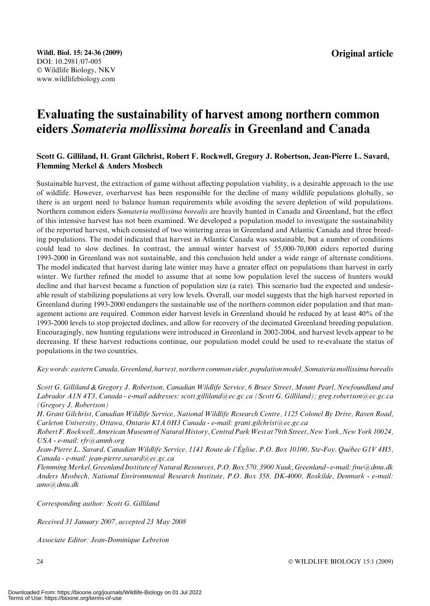## Evaluating the sustainability of harvest among northern common eiders Somateria mollissima borealis in Greenland and Canada

## Scott G. Gilliland, H. Grant Gilchrist, Robert F. Rockwell, Gregory J. Robertson, Jean-Pierre L. Savard, Flemming Merkel & Anders Mosbech

Sustainable harvest, the extraction of game without affecting population viability, is a desirable approach to the use of wildlife. However, overharvest has been responsible for the decline of many wildlife populations globally, so there is an urgent need to balance human requirements while avoiding the severe depletion of wild populations. Northern common eiders Somateria mollissima borealis are heavily hunted in Canada and Greenland, but the effect of this intensive harvest has not been examined. We developed a population model to investigate the sustainability of the reported harvest, which consisted of two wintering areas in Greenland and Atlantic Canada and three breeding populations. The model indicated that harvest in Atlantic Canada was sustainable, but a number of conditions could lead to slow declines. In contrast, the annual winter harvest of 55,000-70,000 eiders reported during 1993-2000 in Greenland was not sustainable, and this conclusion held under a wide range of alternate conditions. The model indicated that harvest during late winter may have a greater effect on populations than harvest in early winter. We further refined the model to assume that at some low population level the success of hunters would decline and that harvest became a function of population size (a rate). This scenario had the expected and undesirable result of stabilizing populations at very low levels. Overall, our model suggests that the high harvest reported in Greenland during 1993-2000 endangers the sustainable use of the northern common eider population and that management actions are required. Common eider harvest levels in Greenland should be reduced by at least 40% of the 1993-2000 levels to stop projected declines, and allow for recovery of the decimated Greenland breeding population. Encouragingly, new hunting regulations were introduced in Greenland in 2002-2004, and harvest levels appear to be decreasing. If these harvest reductions continue, our population model could be used to re-evaluate the status of populations in the two countries.

Key words: eastern Canada, Greenland, harvest, northern common eider, population model, Somateria mollissima borealis

Scott G. Gilliland & Gregory J. Robertson, Canadian Wildlife Service, 6 Bruce Street, Mount Pearl, Newfoundland and Labrador A1N 4T3, Canada - e-mail addresses: scott.gilliland@ec.gc.ca (Scott G. Gilliland); greg.robertson@ec.gc.ca (Gregory J. Robertson)

H. Grant Gilchrist, Canadian Wildlife Service, National Wildlife Research Centre, 1125 Colonel By Drive, Raven Road, Carleton University, Ottawa, Ontario K1A 0H3 Canada - e-mail: grant.gilchrist@ec.gc.ca

Robert F. Rockwell, American Museum of Natural History, Central Park West at 79th Street, New York, New York 10024, USA - e-mail: rfr@amnh.org

Jean-Pierre L. Savard, Canadian Wildlife Service, 1141 Route de l'Église, P.O. Box 10100, Ste-Foy, Québec G1V 4H5, Canada - e-mail: jean-pierre.savard@ec.gc.ca

FlemmingMerkel, Greenland Institute of Natural Resources, P.O. Box 570, 3900 Nuuk, Greenland - e-mail: fme@dmu.dk Anders Mosbech, National Environmental Research Institute, P.O. Box 358, DK-4000, Roskilde, Denmark - e-mail: amo@dmu.dk

Corresponding author: Scott G. Gilliland

Received 31 January 2007, accepted 23 May 2008

Associate Editor: Jean-Dominique Lebreton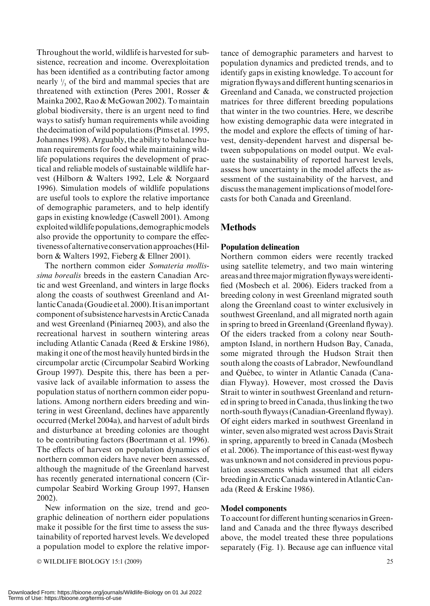Throughout the world, wildlife is harvested for subsistence, recreation and income. Overexploitation has been identified as a contributing factor among nearly  $\frac{1}{3}$  of the bird and mammal species that are threatened with extinction (Peres 2001, Rosser & Mainka 2002, Rao & McGowan 2002). To maintain global biodiversity, there is an urgent need to find ways to satisfy human requirements while avoiding the decimation of wild populations (Pims et al. 1995, Johannes 1998). Arguably, the ability to balance human requirements for food while maintaining wildlife populations requires the development of practical and reliable models of sustainable wildlife harvest (Hilborn & Walters 1992, Lele & Norgaard 1996). Simulation models of wildlife populations are useful tools to explore the relative importance of demographic parameters, and to help identify gaps in existing knowledge (Caswell 2001). Among exploitedwildlife populations, demographicmodels also provide the opportunity to compare the effectivenessof alternative conservation approaches (Hilborn & Walters 1992, Fieberg & Ellner 2001).

The northern common eider Somateria mollissima borealis breeds in the eastern Canadian Arctic and west Greenland, and winters in large flocks along the coasts of southwest Greenland and AtlanticCanada (Goudie et al. 2000). Itis animportant component of subsistence harvestsinArctic Canada and west Greenland (Piniarneq 2003), and also the recreational harvest in southern wintering areas including Atlantic Canada (Reed & Erskine 1986), making it one of the most heavily hunted birds in the circumpolar arctic (Circumpolar Seabird Working Group 1997). Despite this, there has been a pervasive lack of available information to assess the population status of northern common eider populations. Among northern eiders breeding and wintering in west Greenland, declines have apparently occurred (Merkel 2004a), and harvest of adult birds and disturbance at breeding colonies are thought to be contributing factors (Boertmann et al. 1996). The effects of harvest on population dynamics of northern common eiders have never been assessed, although the magnitude of the Greenland harvest has recently generated international concern (Circumpolar Seabird Working Group 1997, Hansen 2002).

New information on the size, trend and geographic delineation of northern eider populations make it possible for the first time to assess the sustainability of reported harvest levels. We developed a population model to explore the relative importance of demographic parameters and harvest to population dynamics and predicted trends, and to identify gaps in existing knowledge. To account for migration flyways and different hunting scenarios in Greenland and Canada, we constructed projection matrices for three different breeding populations that winter in the two countries. Here, we describe how existing demographic data were integrated in the model and explore the effects of timing of harvest, density-dependent harvest and dispersal between subpopulations on model output. We evaluate the sustainability of reported harvest levels, assess how uncertainty in the model affects the assessment of the sustainability of the harvest, and discuss the management implications of model forecasts for both Canada and Greenland.

## **Methods**

## Population delineation

Northern common eiders were recently tracked using satellite telemetry, and two main wintering areas and threemajormigration flyways wereidentified (Mosbech et al. 2006). Eiders tracked from a breeding colony in west Greenland migrated south along the Greenland coast to winter exclusively in southwest Greenland, and all migrated north again in spring to breed in Greenland (Greenland flyway). Of the eiders tracked from a colony near Southampton Island, in northern Hudson Bay, Canada, some migrated through the Hudson Strait then south along the coasts of Labrador, Newfoundland and Québec, to winter in Atlantic Canada (Canadian Flyway). However, most crossed the Davis Strait to winter in southwest Greenland and returned in spring to breed in Canada, thus linking the two north-south flyways (Canadian-Greenland flyway). Of eight eiders marked in southwest Greenland in winter, seven also migrated west across Davis Strait in spring, apparently to breed in Canada (Mosbech et al. 2006). The importance of this east-west flyway was unknown and not considered in previous population assessments which assumed that all eiders breedinginArctic Canada winteredinAtlantic Canada (Reed & Erskine 1986).

## Model components

To account for different hunting scenarios in Greenland and Canada and the three flyways described above, the model treated these three populations separately (Fig. 1). Because age can influence vital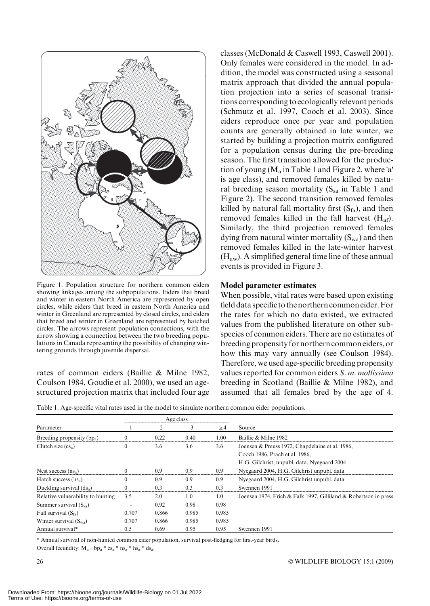

Figure 1. Population structure for northern common eiders showing linkages among the subpopulations. Eiders that breed and winter in eastern North America are represented by open circles, while eiders that breed in eastern North America and winter in Greenland are represented by closed circles, and eiders that breed and winter in Greenland are represented by hatched circles. The arrows represent population connections, with the arrow showing a connection between the two breeding populations in Canada representing the possibility of changing wintering grounds through juvenile dispersal.

rates of common eiders (Baillie & Milne 1982, Coulson 1984, Goudie et al. 2000), we used an agestructured projection matrix that included four age

classes (McDonald & Caswell 1993, Caswell 2001). Only females were considered in the model. In addition, the model was constructed using a seasonal matrix approach that divided the annual population projection into a series of seasonal transitions corresponding to ecologically relevant periods (Schmutz et al. 1997, Cooch et al. 2003). Since eiders reproduce once per year and population counts are generally obtained in late winter, we started by building a projection matrix configured for a population census during the pre-breeding season. The first transition allowed for the production of young  $(M_a \text{ in Table 1 and Figure 2, where 'a'})$ is age class), and removed females killed by natural breeding season mortality  $(S_{sa}$  in Table 1 and Figure 2). The second transition removed females killed by natural fall mortality first  $(S<sub>fa</sub>)$ , and then removed females killed in the fall harvest  $(H_{af})$ . Similarly, the third projection removed females dying from natural winter mortality  $(S_{wa})$  and then removed females killed in the late-winter harvest  $(H<sub>aw</sub>)$ . A simplified general time line of these annual events is provided in Figure 3.

#### Model parameter estimates

When possible, vital rates were based upon existing field data specific to the northern common eider.For the rates for which no data existed, we extracted values from the published literature on other subspecies of common eiders. There are no estimates of breeding propensity for northern common eiders, or how this may vary annually (see Coulson 1984). Therefore, we used age-specific breeding propensity values reported for common eiders S. m. mollissima breeding in Scotland (Baillie & Milne 1982), and assumed that all females bred by the age of 4.

Table 1. Age-specific vital rates used in the model to simulate northern common eider populations.

| Age class |       |       |          |                                                                 |  |
|-----------|-------|-------|----------|-----------------------------------------------------------------|--|
|           |       | 3     | $\geq$ 4 | Source                                                          |  |
|           | 0.22  | 0.40  | 1.00     | Baillie & Milne 1982                                            |  |
|           | 3.6   | 3.6   | 3.6      | Joensen & Preuss 1972, Chapdelaine et al. 1986,                 |  |
|           |       |       |          | Cooch 1986, Prach et al. 1986,                                  |  |
|           |       |       |          | H.G. Gilchrist, unpubl. data, Nyegaard 2004                     |  |
|           | 0.9   | 0.9   | 0.9      | Nyegaard 2004, H.G. Gilchrist unpubl. data                      |  |
|           | 0.9   | 0.9   | 0.9      | Nyegaard 2004, H.G. Gilchrist unpubl. data                      |  |
| $\Omega$  | 0.3   | 0.3   | 0.3      | Swennen 1991                                                    |  |
| 3.5       | 2.0   | 1.0   | 1.0      | Joensen 1974, Frich & Falk 1997, Gilliland & Robertson in press |  |
|           | 0.92  | 0.98  | 0.98     |                                                                 |  |
| 0.707     | 0.866 | 0.985 | 0.985    |                                                                 |  |
| 0.707     | 0.866 | 0.985 | 0.985    |                                                                 |  |
| 0.5       | 0.69  | 0.95  | 0.95     | Swennen 1991                                                    |  |
|           |       |       |          |                                                                 |  |

\* Annual survival of non-hunted common eider population, survival post-fledging for first-year birds.

Overall fecundity:  $M_a = bp_a * cs_a * ns_a * bs_a$ .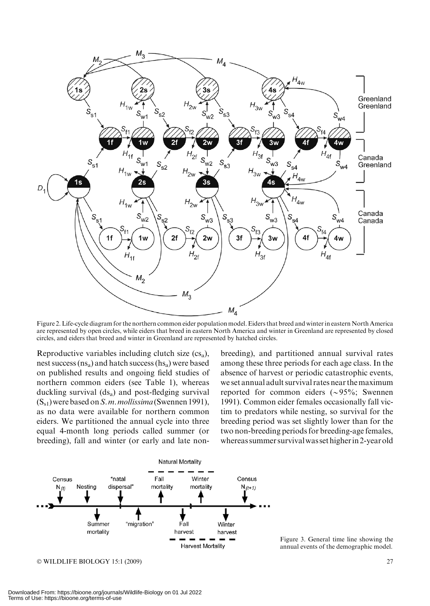

Figure 2. Life-cycle diagram for the northern common eider population model. Eiders that breed and winter in eastern North America are represented by open circles, while eiders that breed in eastern North America and winter in Greenland are represented by closed circles, and eiders that breed and winter in Greenland are represented by hatched circles.

Reproductive variables including clutch size  $(c_s)$ , nest success  $(ns<sub>a</sub>)$  and hatch success  $(hs<sub>a</sub>)$  were based on published results and ongoing field studies of northern common eiders (see Table 1), whereas duckling survival  $(ds<sub>a</sub>)$  and post-fledging survival  $(S_{s1})$  were based on S. m. mollissima (Swennen 1991), as no data were available for northern common eiders. We partitioned the annual cycle into three equal 4-month long periods called summer (or breeding), fall and winter (or early and late nonbreeding), and partitioned annual survival rates among these three periods for each age class. In the absence of harvest or periodic catastrophic events, we set annual adult survival rates near themaximum reported for common eiders  $({\sim}95\%;$  Swennen 1991). Common eider females occasionally fall victim to predators while nesting, so survival for the breeding period was set slightly lower than for the two non-breeding periods for breeding-age females, whereas summer survivalwas set higherin 2-year old



© WILDLIFE BIOLOGY 15:1 (2009) 27

Figure 3. General time line showing the annual events of the demographic model.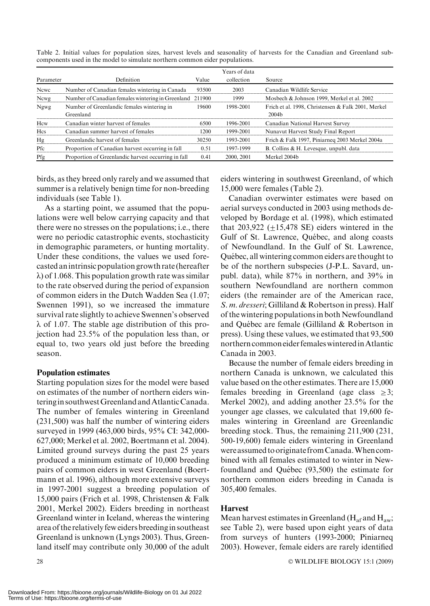|            |                                                          |       | Years of data |                                                    |
|------------|----------------------------------------------------------|-------|---------------|----------------------------------------------------|
| Parameter  | Definition                                               | Value | collection    | Source                                             |
| Newe       | Number of Canadian females wintering in Canada           | 93500 | 2003          | Canadian Wildlife Service                          |
| Newg       | Number of Canadian females wintering in Greenland 211900 |       | 1999          | Mosbech & Johnson 1999, Merkel et al. 2002         |
| Ngwg       | Number of Greenlandic females wintering in               | 19600 | 1998-2001     | Frich et al. 1998. Christensen & Falk 2001. Merkel |
|            | Greenland                                                |       |               | 2004 <sub>b</sub>                                  |
| Hcw        | Canadian winter harvest of females                       | 6500  | 1996-2001     | Canadian National Harvest Survey                   |
| <b>Hcs</b> | Canadian summer harvest of females                       | 1200  | 1999-2001     | Nunavut Harvest Study Final Report                 |
| Hg         | Greenlandic harvest of females                           | 30250 | 1993-2001     | Frich & Falk 1997, Piniarneg 2003 Merkel 2004a     |
| Pfc        | Proportion of Canadian harvest occurring in fall         | 0.51  | 1997-1999     | B. Collins & H. Levesque, unpubl. data             |
| Pfg        | Proportion of Greenlandic harvest occurring in fall      | 0.41  | 2000, 2001    | Merkel 2004b                                       |

Table 2. Initial values for population sizes, harvest levels and seasonality of harvests for the Canadian and Greenland subcomponents used in the model to simulate northern common eider populations.

birds, as they breed only rarely and we assumed that summer is a relatively benign time for non-breeding individuals (see Table 1).

As a starting point, we assumed that the populations were well below carrying capacity and that there were no stresses on the populations; i.e., there were no periodic catastrophic events, stochasticity in demographic parameters, or hunting mortality. Under these conditions, the values we used forecasted anintrinsic population growth rate (hereafter  $\lambda$ ) of 1.068. This population growth rate was similar to the rate observed during the period of expansion of common eiders in the Dutch Wadden Sea (1.07; Swennen 1991), so we increased the immature survival rate slightly to achieve Swennen's observed  $\lambda$  of 1.07. The stable age distribution of this projection had 23.5% of the population less than, or equal to, two years old just before the breeding season.

## Population estimates

Starting population sizes for the model were based on estimates of the number of northern eiders winteringin southwestGreenland andAtlantic Canada. The number of females wintering in Greenland (231,500) was half the number of wintering eiders surveyed in 1999 (463,000 birds, 95% CI: 342,000- 627,000; Merkel et al. 2002, Boertmann et al. 2004). Limited ground surveys during the past 25 years produced a minimum estimate of 10,000 breeding pairs of common eiders in west Greenland (Boertmann et al. 1996), although more extensive surveys in 1997-2001 suggest a breeding population of 15,000 pairs (Frich et al. 1998, Christensen & Falk 2001, Merkel 2002). Eiders breeding in northeast Greenland winter in Iceland, whereas the wintering area of the relatively few eiders breedingin southeast Greenland is unknown (Lyngs 2003). Thus, Greenland itself may contribute only 30,000 of the adult

eiders wintering in southwest Greenland, of which 15,000 were females (Table 2).

Canadian overwinter estimates were based on aerial surveys conducted in 2003 using methods developed by Bordage et al. (1998), which estimated that  $203.922$  (+15,478 SE) eiders wintered in the Gulf of St. Lawrence, Québec, and along coasts of Newfoundland. In the Gulf of St. Lawrence, Québec, all wintering common eiders are thought to be of the northern subspecies (J-P.L. Savard, unpubl. data), while 87% in northern, and 39% in southern Newfoundland are northern common eiders (the remainder are of the American race, S. m. dresseri; Gilliland & Robertson in press). Half of the wintering populations in both Newfoundland and Québec are female (Gilliland  $&$  Robertson in press). Using these values, we estimated that 93,500 northern common eider femaleswinteredinAtlantic Canada in 2003.

Because the number of female eiders breeding in northern Canada is unknown, we calculated this value based on the other estimates. There are 15,000 females breeding in Greenland (age class  $\geq$ 3; Merkel 2002), and adding another 23.5% for the younger age classes, we calculated that 19,600 females wintering in Greenland are Greenlandic breeding stock. Thus, the remaining 211,900 (231, 500-19,600) female eiders wintering in Greenland were assumed tooriginate fromCanada.Whencombined with all females estimated to winter in Newfoundland and Québec (93,500) the estimate for northern common eiders breeding in Canada is 305,400 females.

## Harvest

Mean harvest estimates in Greenland ( $H_{\text{af}}$  and  $H_{\text{aw}}$ ; see Table 2), were based upon eight years of data from surveys of hunters (1993-2000; Piniarneq 2003). However, female eiders are rarely identified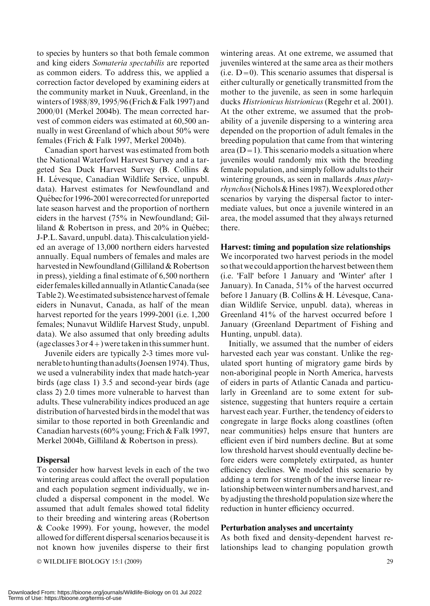to species by hunters so that both female common and king eiders Somateria spectabilis are reported as common eiders. To address this, we applied a correction factor developed by examining eiders at the community market in Nuuk, Greenland, in the winters of 1988/89, 1995/96 (Frich & Falk 1997) and 2000/01 (Merkel 2004b). The mean corrected harvest of common eiders was estimated at 60,500 annually in west Greenland of which about 50% were females (Frich & Falk 1997, Merkel 2004b).

Canadian sport harvest was estimated from both the National Waterfowl Harvest Survey and a targeted Sea Duck Harvest Survey (B. Collins & H. Lévesque, Canadian Wildlife Service, unpubl. data). Harvest estimates for Newfoundland and Québec for 1996-2001 were corrected for unreported late season harvest and the proportion of northern eiders in the harvest (75% in Newfoundland; Gilliland  $& Robertson$  in press, and  $20\%$  in Québec; J-P.L. Savard, unpubl. data). This calculation yielded an average of 13,000 northern eiders harvested annually. Equal numbers of females and males are harvested in Newfoundland (Gilliland & Robertson in press), yielding a final estimate of 6,500 northern eider females killed annuallyinAtlantic Canada (see Table 2).We estimated subsistence harvest of female eiders in Nunavut, Canada, as half of the mean harvest reported for the years 1999-2001 (i.e. 1,200 females; Nunavut Wildlife Harvest Study, unpubl. data). We also assumed that only breeding adults (age classes  $3$  or  $4$  +) were taken in this summer hunt.

Juvenile eiders are typically 2-3 times more vulnerable to hunting than adults (Joensen 1974).Thus, we used a vulnerability index that made hatch-year birds (age class 1) 3.5 and second-year birds (age class 2) 2.0 times more vulnerable to harvest than adults. These vulnerability indices produced an age distribution of harvested birds in the model that was similar to those reported in both Greenlandic and Canadian harvests (60% young; Frich & Falk 1997, Merkel 2004b, Gilliland & Robertson in press).

## Dispersal

To consider how harvest levels in each of the two wintering areas could affect the overall population and each population segment individually, we included a dispersal component in the model. We assumed that adult females showed total fidelity to their breeding and wintering areas (Robertson & Cooke 1999). For young, however, the model allowed for different dispersal scenarios because it is not known how juveniles disperse to their first

© WILDLIFE BIOLOGY 15:1 (2009) 29

wintering areas. At one extreme, we assumed that juveniles wintered at the same area as their mothers  $(i.e. D=0)$ . This scenario assumes that dispersal is either culturally or genetically transmitted from the mother to the juvenile, as seen in some harlequin ducks Histrionicus histrionicus (Regehr et al. 2001). At the other extreme, we assumed that the probability of a juvenile dispersing to a wintering area depended on the proportion of adult females in the breeding population that came from that wintering area ( $D=1$ ). This scenario models a situation where juveniles would randomly mix with the breeding female population, and simply follow adults to their wintering grounds, as seen in mallards *Anas platy*rhynchos(Nichols&Hines 1987).We explored other scenarios by varying the dispersal factor to intermediate values, but once a juvenile wintered in an area, the model assumed that they always returned there.

## Harvest: timing and population size relationships

We incorporated two harvest periods in the model so thatwe could apportion the harvest between them (i.e. 'Fall' before 1 January and 'Winter' after 1 January). In Canada, 51% of the harvest occurred before 1 January (B. Collins & H. Lévesque, Canadian Wildlife Service, unpubl. data), whereas in Greenland 41% of the harvest occurred before 1 January (Greenland Department of Fishing and Hunting, unpubl. data).

Initially, we assumed that the number of eiders harvested each year was constant. Unlike the regulated sport hunting of migratory game birds by non-aboriginal people in North America, harvests of eiders in parts of Atlantic Canada and particularly in Greenland are to some extent for subsistence, suggesting that hunters require a certain harvest each year. Further, the tendency of eiders to congregate in large flocks along coastlines (often near communities) helps ensure that hunters are efficient even if bird numbers decline. But at some low threshold harvest should eventually decline before eiders were completely extirpated, as hunter efficiency declines. We modeled this scenario by adding a term for strength of the inverse linear relationship between winter numbers and harvest, and by adjusting the threshold population size where the reduction in hunter efficiency occurred.

## Perturbation analyses and uncertainty

As both fixed and density-dependent harvest relationships lead to changing population growth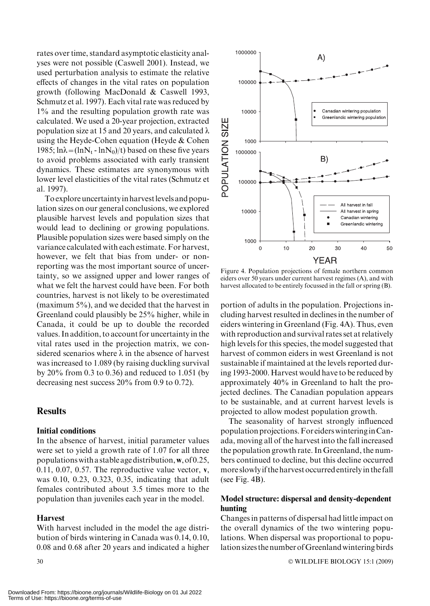rates over time, standard asymptotic elasticity analyses were not possible (Caswell 2001). Instead, we used perturbation analysis to estimate the relative effects of changes in the vital rates on population growth (following MacDonald & Caswell 1993, Schmutz et al. 1997). Each vital rate was reduced by 1% and the resulting population growth rate was calculated. We used a 20-year projection, extracted population size at 15 and 20 years, and calculated  $\lambda$ using the Heyde-Cohen equation (Heyde & Cohen 1985;  $ln\lambda = (lnN_t - lnN_0)/t$ ) based on these five years to avoid problems associated with early transient dynamics. These estimates are synonymous with lower level elasticities of the vital rates (Schmutz et al. 1997).

To explore uncertaintyin harvestlevels and population sizes on our general conclusions, we explored plausible harvest levels and population sizes that would lead to declining or growing populations. Plausible population sizes were based simply on the variance calculated with each estimate. For harvest, however, we felt that bias from under- or nonreporting was the most important source of uncertainty, so we assigned upper and lower ranges of what we felt the harvest could have been. For both countries, harvest is not likely to be overestimated (maximum 5%), and we decided that the harvest in Greenland could plausibly be 25% higher, while in Canada, it could be up to double the recorded values. In addition, to account for uncertainty in the vital rates used in the projection matrix, we considered scenarios where  $\lambda$  in the absence of harvest was increased to 1.089 (by raising duckling survival by 20% from 0.3 to 0.36) and reduced to 1.051 (by decreasing nest success 20% from 0.9 to 0.72).

## **Results**

## Initial conditions

In the absence of harvest, initial parameter values were set to yield a growth rate of 1.07 for all three populations with a stable age distribution,  $w$ , of 0.25, 0.11, 0.07, 0.57. The reproductive value vector,  $v$ , was 0.10, 0.23, 0.323, 0.35, indicating that adult females contributed about 3.5 times more to the population than juveniles each year in the model.

## Harvest

With harvest included in the model the age distribution of birds wintering in Canada was 0.14, 0.10, 0.08 and 0.68 after 20 years and indicated a higher



Figure 4. Population projections of female northern common eiders over 50 years under current harvest regimes (A), and with harvest allocated to be entirely focussed in the fall or spring (B).

portion of adults in the population. Projections including harvest resulted in declines in the number of eiders wintering in Greenland (Fig. 4A). Thus, even with reproduction and survival rates set at relatively high levels for this species, the model suggested that harvest of common eiders in west Greenland is not sustainable if maintained at the levels reported during 1993-2000. Harvest would have to be reduced by approximately 40% in Greenland to halt the projected declines. The Canadian population appears to be sustainable, and at current harvest levels is projected to allow modest population growth.

The seasonality of harvest strongly influenced population projections.For eiderswinteringinCanada, moving all of the harvest into the fall increased the population growth rate. In Greenland, the numbers continued to decline, but this decline occurred more slowlyif the harvest occurred entirelyin the fall (see Fig.  $4B$ ).

## Model structure: dispersal and density-dependent hunting

Changes in patterns of dispersal had little impact on the overall dynamics of the two wintering populations. When dispersal was proportional to population sizes the number of Greenland wintering birds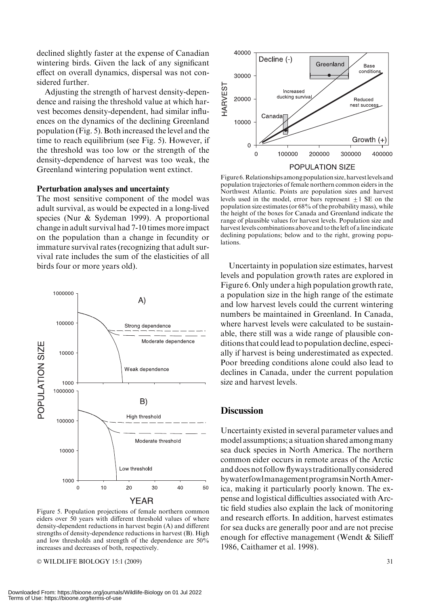declined slightly faster at the expense of Canadian wintering birds. Given the lack of any significant effect on overall dynamics, dispersal was not considered further.

Adjusting the strength of harvest density-dependence and raising the threshold value at which harvest becomes density-dependent, had similar influences on the dynamics of the declining Greenland population (Fig. 5). Both increased the level and the time to reach equilibrium (see Fig. 5). However, if the threshold was too low or the strength of the density-dependence of harvest was too weak, the Greenland wintering population went extinct.

#### Perturbation analyses and uncertainty

The most sensitive component of the model was adult survival, as would be expected in a long-lived species (Nur & Sydeman 1999). A proportional change in adult survival had 7-10 times more impact on the population than a change in fecundity or immature survival rates (recognizing that adult survival rate includes the sum of the elasticities of all birds four or more years old). Uncertainty in population size estimates, harvest



Figure 5. Population projections of female northern common eiders over 50 years with different threshold values of where density-dependent reductions in harvest begin (A) and different strengths of density-dependence reductions in harvest (B). High and low thresholds and strength of the dependence are 50% increases and decreases of both, respectively.

 $\odot$  WILDLIFE BIOLOGY 15:1 (2009)  $\qquad \qquad$  31



Figure 6.Relationships among population size, harvestlevels and population trajectories of female northern common eiders in the Northwest Atlantic. Points are population sizes and harvest levels used in the model, error bars represent  $\pm 1$  SE on the population size estimates (or 68% of the probability mass), while the height of the boxes for Canada and Greenland indicate the range of plausible values for harvest levels. Population size and harvest levels combinations above and to the left of a line indicate declining populations; below and to the right, growing populations.

levels and population growth rates are explored in Figure 6. Only under a high population growth rate, a population size in the high range of the estimate and low harvest levels could the current wintering numbers be maintained in Greenland. In Canada, where harvest levels were calculated to be sustainable, there still was a wide range of plausible conditions that could lead to population decline, especially if harvest is being underestimated as expected. Poor breeding conditions alone could also lead to declines in Canada, under the current population size and harvest levels.

#### **Discussion**

Uncertainty existed in several parameter values and model assumptions; a situation shared amongmany sea duck species in North America. The northern common eider occurs in remote areas of the Arctic and does not follow flyways traditionally considered bywaterfowlmanagementprogramsinNorthAmerica, making it particularly poorly known. The expense and logistical difficulties associated with Arctic field studies also explain the lack of monitoring and research efforts. In addition, harvest estimates for sea ducks are generally poor and are not precise enough for effective management (Wendt & Silieff 1986, Caithamer et al. 1998).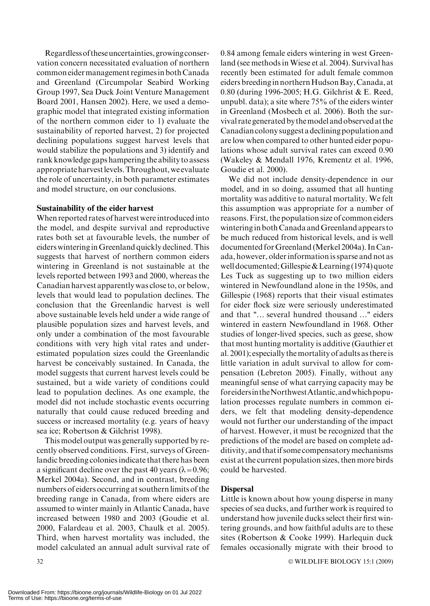Regardlessof theseuncertainties,growingconservation concern necessitated evaluation of northern common eidermanagement regimesin both Canada and Greenland (Circumpolar Seabird Working Group 1997, Sea Duck Joint Venture Management Board 2001, Hansen 2002). Here, we used a demographic model that integrated existing information of the northern common eider to 1) evaluate the sustainability of reported harvest, 2) for projected declining populations suggest harvest levels that would stabilize the populations and 3) identify and rank knowledge gaps hampering the ability to assess appropriateharvestlevels.Throughout,we evaluate the role of uncertainty, in both parameter estimates and model structure, on our conclusions.

#### Sustainability of the eider harvest

When reported rates of harvest were introduced into the model, and despite survival and reproductive rates both set at favourable levels, the number of eiders wintering inGreenland quickly declined. This suggests that harvest of northern common eiders wintering in Greenland is not sustainable at the levels reported between 1993 and 2000, whereas the Canadian harvest apparently was close to, or below, levels that would lead to population declines. The conclusion that the Greenlandic harvest is well above sustainable levels held under a wide range of plausible population sizes and harvest levels, and only under a combination of the most favourable conditions with very high vital rates and underestimated population sizes could the Greenlandic harvest be conceivably sustained. In Canada, the model suggests that current harvest levels could be sustained, but a wide variety of conditions could lead to population declines. As one example, the model did not include stochastic events occurring naturally that could cause reduced breeding and success or increased mortality (e.g. years of heavy sea ice; Robertson & Gilchrist 1998).

This model output was generally supported by recently observed conditions. First, surveys of Greenlandic breeding colonies indicate that there has been a significant decline over the past 40 years ( $\lambda$ =0.96; Merkel 2004a). Second, and in contrast, breeding numbers of eiders occurring at southern limits of the breeding range in Canada, from where eiders are assumed to winter mainly in Atlantic Canada, have increased between 1980 and 2003 (Goudie et al. 2000, Falardeau et al. 2003, Chaulk et al. 2005). Third, when harvest mortality was included, the model calculated an annual adult survival rate of 0.84 among female eiders wintering in west Greenland (see methods in Wiese et al. 2004). Survival has recently been estimated for adult female common eiders breedingin northernHudsonBay, Canada, at 0.80 (during 1996-2005; H.G. Gilchrist & E. Reed, unpubl. data); a site where 75% of the eiders winter in Greenland (Mosbech et al. 2006). Both the survival rate generated by themodel andobserved at the Canadian colony suggest adeclining population and are low when compared to other hunted eider populations whose adult survival rates can exceed 0.90 (Wakeley & Mendall 1976, Krementz et al. 1996, Goudie et al. 2000).

We did not include density-dependence in our model, and in so doing, assumed that all hunting mortality was additive to natural mortality. We felt this assumption was appropriate for a number of reasons. First, the population size of common eiders wintering in both Canada and Greenland appears to be much reduced from historical levels, and is well documented for Greenland (Merkel 2004a). In Canada, however, older information is sparse and not as well documented; Gillespie & Learning  $(1974)$  quote Les Tuck as suggesting up to two million eiders wintered in Newfoundland alone in the 1950s, and Gillespie (1968) reports that their visual estimates for eider flock size were seriously underestimated and that ''… several hundred thousand …'' eiders wintered in eastern Newfoundland in 1968. Other studies of longer-lived species, such as geese, show that most hunting mortality is additive (Gauthier et al. 2001); especially the mortality of adults as there is little variation in adult survival to allow for compensation (Lebreton 2005). Finally, without any meaningful sense of what carrying capacity may be foreidersintheNorthwestAtlantic,andwhichpopulation processes regulate numbers in common eiders, we felt that modeling density-dependence would not further our understanding of the impact of harvest. However, it must be recognized that the predictions of the model are based on complete additivity, and thatif some compensatory mechanisms exist at the current population sizes, then more birds could be harvested.

#### Dispersal

Little is known about how young disperse in many species of sea ducks, and further work is required to understand how juvenile ducks select their first wintering grounds, and how faithful adults are to these sites (Robertson & Cooke 1999). Harlequin duck females occasionally migrate with their brood to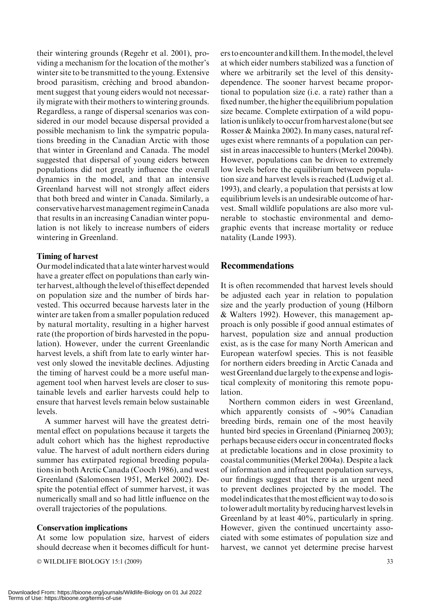their wintering grounds (Regehr et al. 2001), providing a mechanism for the location of the mother's winter site to be transmitted to the young. Extensive brood parasitism, crèching and brood abandonment suggest that young eiders would not necessarily migrate with their mothers to wintering grounds. Regardless, a range of dispersal scenarios was considered in our model because dispersal provided a possible mechanism to link the sympatric populations breeding in the Canadian Arctic with those that winter in Greenland and Canada. The model suggested that dispersal of young eiders between populations did not greatly influence the overall dynamics in the model, and that an intensive Greenland harvest will not strongly affect eiders that both breed and winter in Canada. Similarly, a conservative harvestmanagement regimeinCanada that results in an increasing Canadian winter population is not likely to increase numbers of eiders wintering in Greenland.

## Timing of harvest

Ourmodelindicated that alate winter harvestwould have a greater effect on populations than early winter harvest, although thelevel of this effect depended on population size and the number of birds harvested. This occurred because harvests later in the winter are taken from a smaller population reduced by natural mortality, resulting in a higher harvest rate (the proportion of birds harvested in the population). However, under the current Greenlandic harvest levels, a shift from late to early winter harvest only slowed the inevitable declines. Adjusting the timing of harvest could be a more useful management tool when harvest levels are closer to sustainable levels and earlier harvests could help to ensure that harvest levels remain below sustainable levels.

A summer harvest will have the greatest detrimental effect on populations because it targets the adult cohort which has the highest reproductive value. The harvest of adult northern eiders during summer has extirpated regional breeding populations in both Arctic Canada (Cooch 1986), and west Greenland (Salomonsen 1951, Merkel 2002). Despite the potential effect of summer harvest, it was numerically small and so had little influence on the overall trajectories of the populations.

## Conservation implications

At some low population size, harvest of eiders should decrease when it becomes difficult for hunt-

© WILDLIFE BIOLOGY 15:1 (2009) 33

ers to encounter and kill them. In themodel, thelevel at which eider numbers stabilized was a function of where we arbitrarily set the level of this densitydependence. The sooner harvest became proportional to population size (i.e. a rate) rather than a fixed number, the higher the equilibrium population size became. Complete extirpation of a wild populationis unlikely to occur from harvest alone (but see Rosser & Mainka 2002). In many cases, natural refuges exist where remnants of a population can persist in areas inaccessible to hunters (Merkel 2004b). However, populations can be driven to extremely low levels before the equilibrium between population size and harvest levels is reached (Ludwig et al. 1993), and clearly, a population that persists at low equilibrium levels is an undesirable outcome of harvest. Small wildlife populations are also more vulnerable to stochastic environmental and demographic events that increase mortality or reduce natality (Lande 1993).

## Recommendations

It is often recommended that harvest levels should be adjusted each year in relation to population size and the yearly production of young (Hilborn & Walters 1992). However, this management approach is only possible if good annual estimates of harvest, population size and annual production exist, as is the case for many North American and European waterfowl species. This is not feasible for northern eiders breeding in Arctic Canada and west Greenland due largely to the expense and logistical complexity of monitoring this remote population.

Northern common eiders in west Greenland, which apparently consists of  $\sim 90\%$  Canadian breeding birds, remain one of the most heavily hunted bird species in Greenland (Piniarneq 2003); perhaps because eiders occur in concentrated flocks at predictable locations and in close proximity to coastal communities (Merkel 2004a). Despite a lack of information and infrequent population surveys, our findings suggest that there is an urgent need to prevent declines projected by the model. The modelindicates that themost efficient way to do sois tolower adultmortality by reducing harvestlevelsin Greenland by at least 40%, particularly in spring. However, given the continued uncertainty associated with some estimates of population size and harvest, we cannot yet determine precise harvest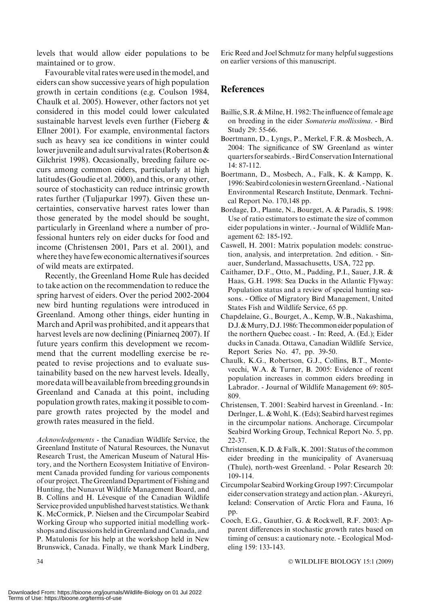levels that would allow eider populations to be maintained or to grow.

Favourable vital rates were usedin themodel, and eiders can show successive years of high population growth in certain conditions (e.g. Coulson 1984, Chaulk et al. 2005). However, other factors not yet considered in this model could lower calculated sustainable harvest levels even further (Fieberg & Ellner 2001). For example, environmental factors such as heavy sea ice conditions in winter could lower juvenile and adult survival rates (Robertson  $\&$ Gilchrist 1998). Occasionally, breeding failure occurs among common eiders, particularly at high latitudes (Goudie et al. 2000), and this, or any other, source of stochasticity can reduce intrinsic growth rates further (Tuljapurkar 1997). Given these uncertainties, conservative harvest rates lower than those generated by the model should be sought, particularly in Greenland where a number of professional hunters rely on eider ducks for food and income (Christensen 2001, Pars et al. 2001), and where they have few economic alternativesif sources of wild meats are extirpated.

Recently, the Greenland Home Rule has decided to take action on the recommendation to reduce the spring harvest of eiders. Over the period 2002-2004 new bird hunting regulations were introduced in Greenland. Among other things, eider hunting in March and April was prohibited, and it appears that harvest levels are now declining (Piniarneq 2007). If future years confirm this development we recommend that the current modelling exercise be repeated to revise projections and to evaluate sustainability based on the new harvest levels. Ideally, more datawill be available from breeding groundsin Greenland and Canada at this point, including population growth rates, making it possible to compare growth rates projected by the model and growth rates measured in the field.

Acknowledgements - the Canadian Wildlife Service, the Greenland Institute of Natural Resources, the Nunavut Research Trust, the American Museum of Natural History, and the Northern Ecosystem Initiative of Environment Canada provided funding for various components of our project. The Greenland Department of Fishing and Hunting, the Nunavut Wildlife Management Board, and B. Collins and H. Lévesque of the Canadian Wildlife Service provided unpublished harvest statistics.We thank K. McCormick, P. Nielsen and the Circumpolar Seabird Working Group who supported initial modelling workshops and discussions heldin Greenland and Canada, and P. Matulonis for his help at the workshop held in New Brunswick, Canada. Finally, we thank Mark Lindberg, Eric Reed and Joel Schmutz for many helpful suggestions on earlier versions of this manuscript.

## **References**

- Baillie, S.R. & Milne, H. 1982: The influence of female age on breeding in the eider Somateria mollissima. - Bird Study 29: 55-66.
- Boertmann, D., Lyngs, P., Merkel, F.R. & Mosbech, A. 2004: The significance of SW Greenland as winter quarters for seabirds. -BirdConservation International 14: 87-112.
- Boertmann, D., Mosbech, A., Falk, K. & Kampp, K. 1996: Seabird coloniesin westernGreenland. -National Environmental Research Institute, Denmark. Technical Report No. 170,148 pp.
- Bordage, D., Plante, N., Bourget, A. & Paradis, S. 1998: Use of ratio estimators to estimate the size of common eider populations in winter. - Journal of Wildlife Management 62: 185-192.
- Caswell, H. 2001: Matrix population models: construction, analysis, and interpretation. 2nd edition. - Sinauer, Sunderland, Massachusetts, USA, 722 pp.
- Caithamer, D.F., Otto, M., Padding, P.I., Sauer, J.R. & Haas, G.H. 1998: Sea Ducks in the Atlantic Flyway: Population status and a review of special hunting seasons. - Office of Migratory Bird Management, United States Fish and Wildlife Service, 65 pp.
- Chapdelaine, G., Bourget, A., Kemp, W.B., Nakashima, D.J. & Murry, D.J. 1986: The common eider population of the northern Quebec coast. - In: Reed, A. (Ed.); Eider ducks in Canada. Ottawa, Canadian Wildlife Service, Report Series No. 47, pp. 39-50.
- Chaulk, K.G., Robertson, G.J., Collins, B.T., Montevecchi, W.A. & Turner, B. 2005: Evidence of recent population increases in common eiders breeding in Labrador. - Journal of Wildlife Management 69: 805- 809.
- Christensen, T. 2001: Seabird harvest in Greenland. In: Derlnger, L. & Wohl, K. (Eds); Seabird harvest regimes in the circumpolar nations. Anchorage. Circumpolar Seabird Working Group, Technical Report No. 5, pp. 22-37.
- Christensen, K.D. & Falk, K. 2001: Status of the common eider breeding in the municipality of Avanersuaq (Thule), north-west Greenland. - Polar Research 20: 109-114.
- Circumpolar SeabirdWorking Group 1997: Circumpolar eider conservation strategy and action plan. - Akureyri, Iceland: Conservation of Arctic Flora and Fauna, 16 pp.
- Cooch, E.G., Gauthier, G. & Rockwell, R.F. 2003: Apparent differences in stochastic growth rates based on timing of census: a cautionary note. - Ecological Modeling 159: 133-143.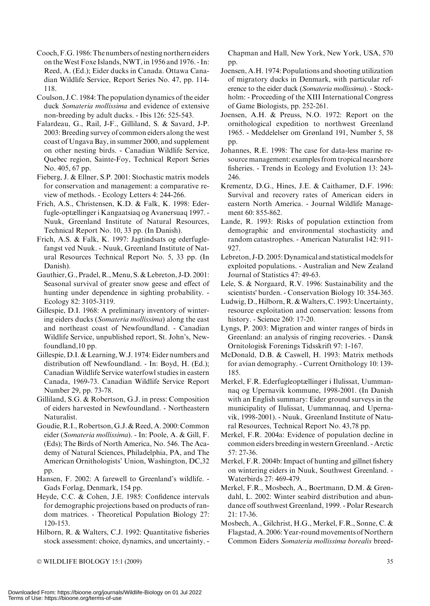- Cooch,F.G. 1986:The numbers of nesting northern eiders on theWest Foxe Islands, NWT, in 1956 and 1976. - In: Reed, A. (Ed.); Eider ducks in Canada. Ottawa Canadian Wildlife Service, Report Series No. 47, pp. 114- 118.
- Coulson, J.C. 1984: The population dynamics of the eider duck Somateria mollissima and evidence of extensive non-breeding by adult ducks. - Ibis 126: 525-543.
- Falardeau, G., Rail, J-F., Gilliland, S. & Savard, J-P. 2003: Breeding survey of common eiders along the west coast of Ungava Bay, in summer 2000, and supplement on other nesting birds. - Canadian Wildlife Service, Quebec region, Sainte-Foy, Technical Report Series No. 405, 67 pp.
- Fieberg, J. & Ellner, S.P. 2001: Stochastic matrix models for conservation and management: a comparative review of methods. - Ecology Letters 4: 244-266.
- Frich, A.S., Christensen, K.D. & Falk, K. 1998: Ederfugle-optællinger i Kangaatsiaq og Avanersuaq 1997. - Nuuk, Greenland Institute of Natural Resources, Technical Report No. 10, 33 pp. (In Danish).
- Frich, A.S. & Falk, K. 1997: Jagtindsats og ederfuglefangst ved Nuuk. - Nuuk, Greenland Institute of Natural Resources Technical Report No. 5, 33 pp. (In Danish).
- Gauthier, G., Pradel, R., Menu, S. & Lebreton, J-D. 2001: Seasonal survival of greater snow geese and effect of hunting under dependence in sighting probability. - Ecology 82: 3105-3119.
- Gillespie, D.I. 1968: A preliminary inventory of wintering eiders ducks (Somateria mollissima) along the east and northeast coast of Newfoundland. - Canadian Wildlife Service, unpublished report, St. John's, Newfoundland,10 pp.
- Gillespie, D.I. & Learning, W.J. 1974: Eider numbers and distribution off Newfoundland. - In: Boyd, H. (Ed.); Canadian Wildlife Service waterfowl studies in eastern Canada, 1969-73. Canadian Wildlife Service Report Number 29, pp. 73-78.
- Gilliland, S.G. & Robertson, G.J. in press: Composition of eiders harvested in Newfoundland. - Northeastern Naturalist.
- Goudie, R.I., Robertson, G.J. & Reed, A. 2000: Common eider (Somateria mollissima). - In: Poole, A. & Gill, F. (Eds); The Birds of North America, No. 546. The Academy of Natural Sciences, Philadelphia, PA, and The American Ornithologists' Union, Washington, DC,32 pp.
- Hansen, F. 2002: A farewell to Greenland's wildlife. Gads Forlag, Denmark, 154 pp.
- Heyde, C.C. & Cohen, J.E. 1985: Confidence intervals for demographic projections based on products of random matrices. - Theoretical Population Biology 27: 120-153.
- Hilborn, R. & Walters, C.J. 1992: Quantitative fisheries stock assessment: choice, dynamics, and uncertainty. -

- WILDLIFE BIOLOGY 15:1 (2009) 35

Chapman and Hall, New York, New York, USA, 570 pp.

- Joensen, A.H. 1974: Populations and shooting utilization of migratory ducks in Denmark, with particular reference to the eider duck (Somateria mollissima). - Stockholm: - Proceeding of the XIII International Congress of Game Biologists, pp. 252-261.
- Joensen, A.H. & Preuss, N.O. 1972: Report on the ornithological expedition to northwest Greenland 1965. - Meddelelser om Grønland 191, Number 5, 58 pp.
- Johannes, R.E. 1998: The case for data-less marine resource management: examples from tropical nearshore fisheries. - Trends in Ecology and Evolution 13: 243- 246.
- Krementz, D.G., Hines, J.E. & Caithamer, D.F. 1996: Survival and recovery rates of American eiders in eastern North America. - Journal Wildlife Management 60: 855-862.
- Lande, R. 1993: Risks of population extinction from demographic and environmental stochasticity and random catastrophes. - American Naturalist 142: 911- 927.
- Lebreton, J-D. 2005: Dynamical and statistical models for exploited populations. - Australian and New Zealand Journal of Statistics 47: 49-63.
- Lele, S. & Norgaard, R.V. 1996: Sustainability and the scientists' burden. - Conservation Biology 10: 354-365.
- Ludwig, D., Hilborn, R. & Walters, C. 1993: Uncertainty, resource exploitation and conservation: lessons from history. - Science 260: 17-20.
- Lyngs, P. 2003: Migration and winter ranges of birds in Greenland: an analysis of ringing recoveries. - Dansk Ornitologisk Forenings Tidsskrift 97: 1-167.
- McDonald, D.B. & Caswell, H. 1993: Matrix methods for avian demography. - Current Ornithology 10: 139- 185.
- Merkel, F.R. Ederfugleoptællinger i Ilulissat, Uummannaq og Upernavik kommune, 1998-2001. (In Danish with an English summary: Eider ground surveys in the municipality of Ilulissat, Uummannaq, and Upernavik, 1998-2001). - Nuuk, Greenland Institute of Natural Resources, Technical Report No. 43,78 pp.
- Merkel, F.R. 2004a: Evidence of population decline in common eiders breeding in western Greenland. - Arctic 57: 27-36.
- Merkel, F.R. 2004b: Impact of hunting and gillnet fishery on wintering eiders in Nuuk, Southwest Greenland. - Waterbirds 27: 469-479.
- Merkel, F.R., Mosbech, A., Boertmann, D.M. & Grøndahl, L. 2002: Winter seabird distribution and abundance off southwest Greenland, 1999. - Polar Research 21: 17-36.
- Mosbech, A., Gilchrist, H.G., Merkel, F.R., Sonne, C. & Flagstad, A. 2006: Year-round movements of Northern Common Eiders Somateria mollissima borealis breed-